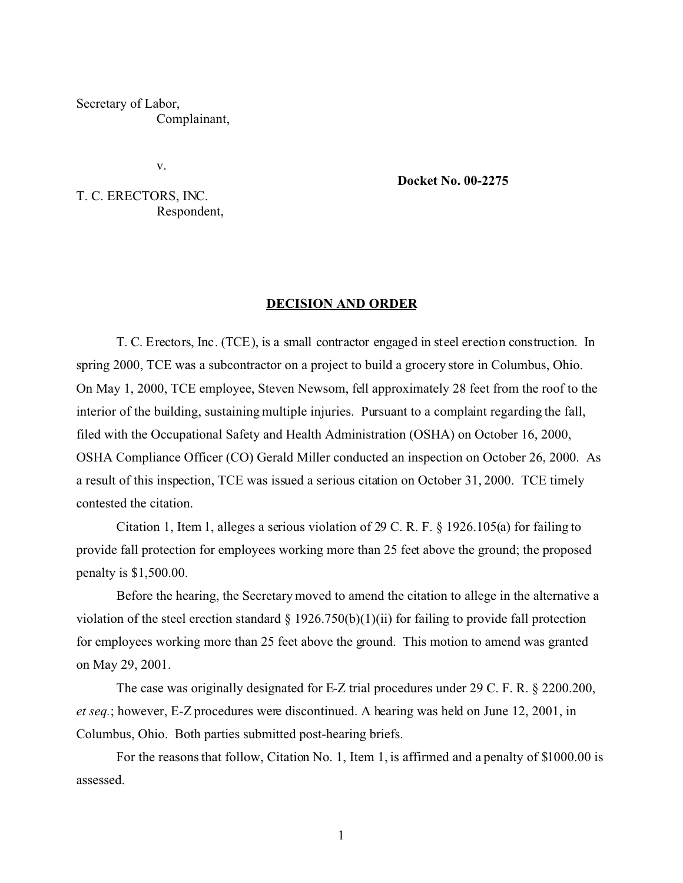Secretary of Labor, Complainant,

v.

**Docket No. 00-2275** 

T. C. ERECTORS, INC. Respondent,

#### **DECISION AND ORDER**

T. C. Erectors, Inc. (TCE), is a small contractor engaged in steel erection construction. In spring 2000, TCE was a subcontractor on a project to build a grocery store in Columbus, Ohio. On May 1, 2000, TCE employee, Steven Newsom, fell approximately 28 feet from the roof to the interior of the building, sustaining multiple injuries. Pursuant to a complaint regarding the fall, filed with the Occupational Safety and Health Administration (OSHA) on October 16, 2000, OSHA Compliance Officer (CO) Gerald Miller conducted an inspection on October 26, 2000. As a result of this inspection, TCE was issued a serious citation on October 31, 2000. TCE timely contested the citation.

Citation 1, Item 1, alleges a serious violation of 29 C. R. F. § 1926.105(a) for failing to provide fall protection for employees working more than 25 feet above the ground; the proposed penalty is \$1,500.00.

Before the hearing, the Secretary moved to amend the citation to allege in the alternative a violation of the steel erection standard § 1926.750(b)(1)(ii) for failing to provide fall protection for employees working more than 25 feet above the ground. This motion to amend was granted on May 29, 2001.

The case was originally designated for E-Z trial procedures under 29 C. F. R. § 2200.200, *et seq.*; however, E-Z procedures were discontinued. A hearing was held on June 12, 2001, in Columbus, Ohio. Both parties submitted post-hearing briefs.

For the reasons that follow, Citation No. 1, Item 1, is affirmed and a penalty of \$1000.00 is assessed.

1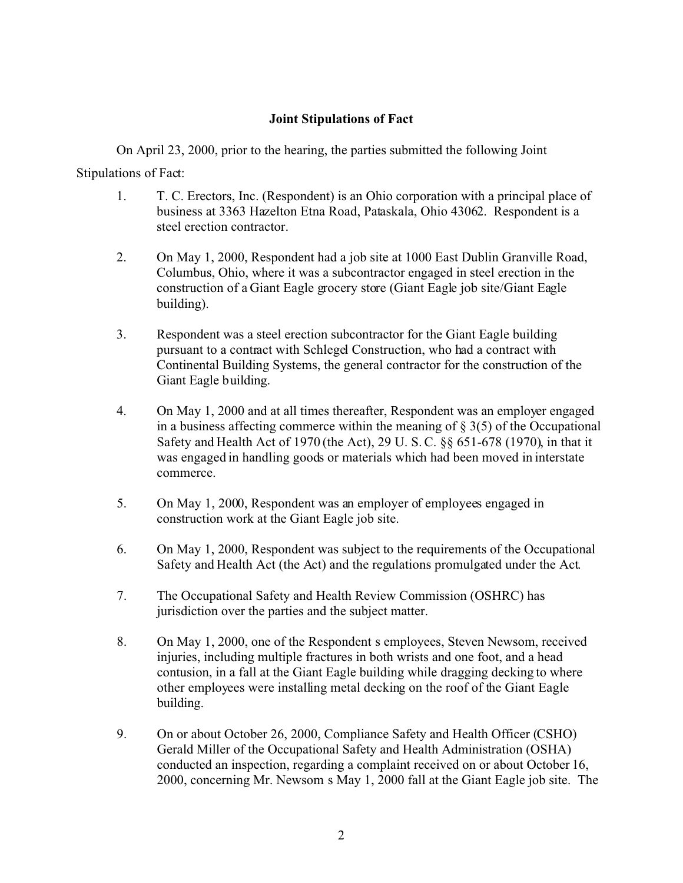# **Joint Stipulations of Fact**

On April 23, 2000, prior to the hearing, the parties submitted the following Joint Stipulations of Fact:

- 1. T. C. Erectors, Inc. (Respondent) is an Ohio corporation with a principal place of business at 3363 Hazelton Etna Road, Pataskala, Ohio 43062. Respondent is a steel erection contractor.
- 2. On May 1, 2000, Respondent had a job site at 1000 East Dublin Granville Road, Columbus, Ohio, where it was a subcontractor engaged in steel erection in the construction of a Giant Eagle grocery store (Giant Eagle job site/Giant Eagle building).
- 3. Respondent was a steel erection subcontractor for the Giant Eagle building pursuant to a contract with Schlegel Construction, who had a contract with Continental Building Systems, the general contractor for the construction of the Giant Eagle building.
- 4. On May 1, 2000 and at all times thereafter, Respondent was an employer engaged in a business affecting commerce within the meaning of  $\S 3(5)$  of the Occupational Safety and Health Act of 1970 (the Act), 29 U. S. C. §§ 651-678 (1970), in that it was engaged in handling goods or materials which had been moved in interstate commerce.
- 5. On May 1, 2000, Respondent was an employer of employees engaged in construction work at the Giant Eagle job site.
- 6. On May 1, 2000, Respondent was subject to the requirements of the Occupational Safety and Health Act (the Act) and the regulations promulgated under the Act.
- 7. The Occupational Safety and Health Review Commission (OSHRC) has jurisdiction over the parties and the subject matter.
- 8. On May 1, 2000, one of the Respondent s employees, Steven Newsom, received injuries, including multiple fractures in both wrists and one foot, and a head contusion, in a fall at the Giant Eagle building while dragging decking to where other employees were installing metal decking on the roof of the Giant Eagle building.
- 9. On or about October 26, 2000, Compliance Safety and Health Officer (CSHO) Gerald Miller of the Occupational Safety and Health Administration (OSHA) conducted an inspection, regarding a complaint received on or about October 16, 2000, concerning Mr. Newsom s May 1, 2000 fall at the Giant Eagle job site. The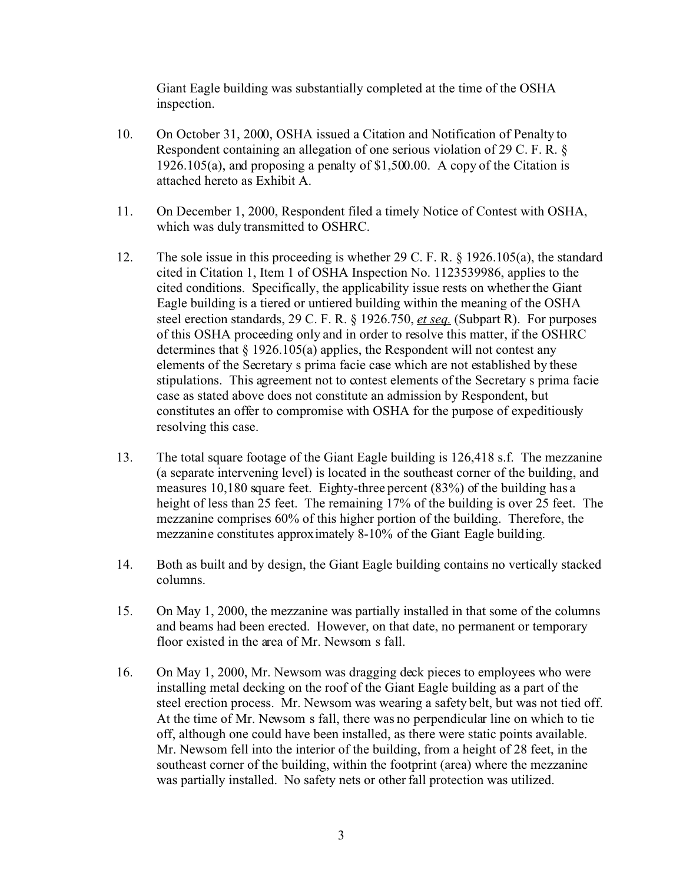Giant Eagle building was substantially completed at the time of the OSHA inspection.

- 10. On October 31, 2000, OSHA issued a Citation and Notification of Penalty to Respondent containing an allegation of one serious violation of 29 C. F. R. § 1926.105(a), and proposing a penalty of \$1,500.00. A copy of the Citation is attached hereto as Exhibit A.
- 11. On December 1, 2000, Respondent filed a timely Notice of Contest with OSHA, which was duly transmitted to OSHRC.
- 12. The sole issue in this proceeding is whether 29 C. F. R. § 1926.105(a), the standard cited in Citation 1, Item 1 of OSHA Inspection No. 1123539986, applies to the cited conditions. Specifically, the applicability issue rests on whether the Giant Eagle building is a tiered or untiered building within the meaning of the OSHA steel erection standards, 29 C. F. R. § 1926.750, *et seq.* (Subpart R). For purposes of this OSHA proceeding only and in order to resolve this matter, if the OSHRC determines that  $\S 1926.105(a)$  applies, the Respondent will not contest any elements of the Secretary s prima facie case which are not established by these stipulations. This agreement not to contest elements of the Secretary s prima facie case as stated above does not constitute an admission by Respondent, but constitutes an offer to compromise with OSHA for the purpose of expeditiously resolving this case.
- 13. The total square footage of the Giant Eagle building is 126,418 s.f. The mezzanine (a separate intervening level) is located in the southeast corner of the building, and measures 10,180 square feet. Eighty-three percent (83%) of the building has a height of less than 25 feet. The remaining 17% of the building is over 25 feet. The mezzanine comprises 60% of this higher portion of the building. Therefore, the mezzanine constitutes approximately 8-10% of the Giant Eagle building.
- 14. Both as built and by design, the Giant Eagle building contains no vertically stacked columns.
- 15. On May 1, 2000, the mezzanine was partially installed in that some of the columns and beams had been erected. However, on that date, no permanent or temporary floor existed in the area of Mr. Newsom s fall.
- 16. On May 1, 2000, Mr. Newsom was dragging deck pieces to employees who were installing metal decking on the roof of the Giant Eagle building as a part of the steel erection process. Mr. Newsom was wearing a safety belt, but was not tied off. At the time of Mr. Newsom s fall, there was no perpendicular line on which to tie off, although one could have been installed, as there were static points available. Mr. Newsom fell into the interior of the building, from a height of 28 feet, in the southeast corner of the building, within the footprint (area) where the mezzanine was partially installed. No safety nets or other fall protection was utilized.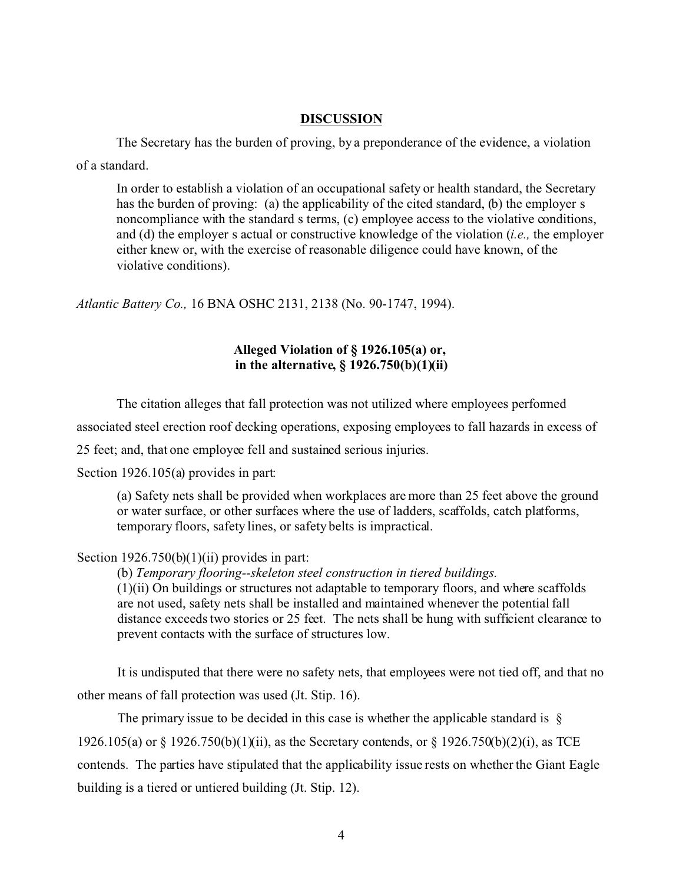### **DISCUSSION**

The Secretary has the burden of proving, by a preponderance of the evidence, a violation of a standard.

In order to establish a violation of an occupational safety or health standard, the Secretary has the burden of proving: (a) the applicability of the cited standard, (b) the employer s noncompliance with the standard s terms, (c) employee access to the violative conditions, and (d) the employer s actual or constructive knowledge of the violation (*i.e.,* the employer either knew or, with the exercise of reasonable diligence could have known, of the violative conditions).

*Atlantic Battery Co.,* 16 BNA OSHC 2131, 2138 (No. 90-1747, 1994).

## **Alleged Violation of § 1926.105(a) or, in the alternative, § 1926.750(b)(1)(ii)**

The citation alleges that fall protection was not utilized where employees performed

associated steel erection roof decking operations, exposing employees to fall hazards in excess of

25 feet; and, that one employee fell and sustained serious injuries.

Section 1926.105(a) provides in part:

(a) Safety nets shall be provided when workplaces are more than 25 feet above the ground or water surface, or other surfaces where the use of ladders, scaffolds, catch platforms, temporary floors, safety lines, or safety belts is impractical.

## Section  $1926.750(b)(1)(ii)$  provides in part:

(b) *Temporary flooring--skeleton steel construction in tiered buildings.*  (1)(ii) On buildings or structures not adaptable to temporary floors, and where scaffolds are not used, safety nets shall be installed and maintained whenever the potential fall distance exceeds two stories or 25 feet. The nets shall be hung with sufficient clearance to prevent contacts with the surface of structures low.

It is undisputed that there were no safety nets, that employees were not tied off, and that no other means of fall protection was used (Jt. Stip. 16).

The primary issue to be decided in this case is whether the applicable standard is  $\delta$ 1926.105(a) or § 1926.750(b)(1)(ii), as the Secretary contends, or § 1926.750(b)(2)(i), as TCE contends. The parties have stipulated that the applicability issue rests on whether the Giant Eagle building is a tiered or untiered building (Jt. Stip. 12).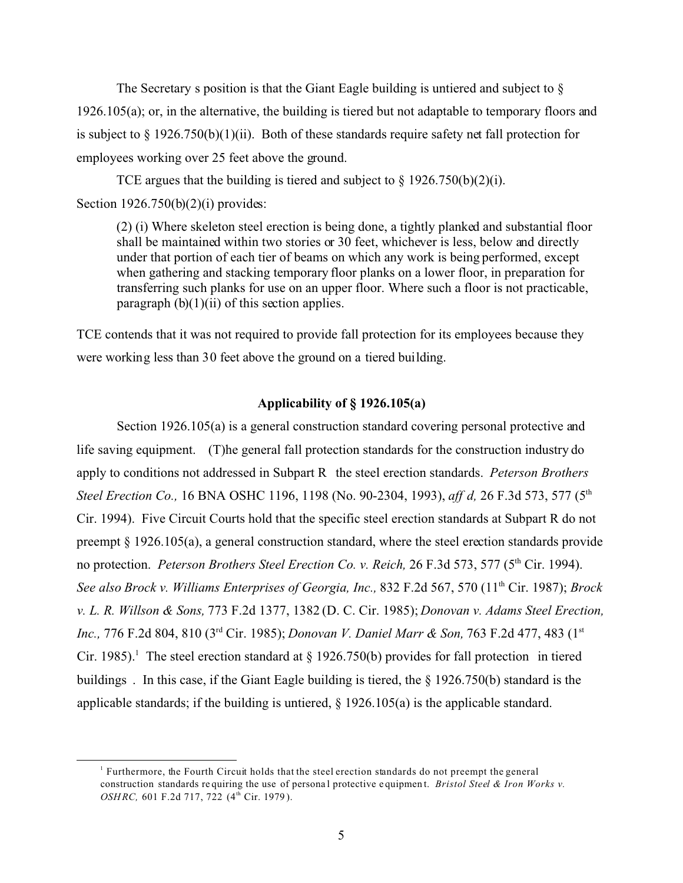The Secretary s position is that the Giant Eagle building is untiered and subject to  $\S$ 1926.105(a); or, in the alternative, the building is tiered but not adaptable to temporary floors and is subject to  $\S 1926.750(b)(1)(ii)$ . Both of these standards require safety net fall protection for employees working over 25 feet above the ground.

TCE argues that the building is tiered and subject to  $\S 1926.750(b)(2)(i)$ . Section 1926.750(b)(2)(i) provides:

(2) (i) Where skeleton steel erection is being done, a tightly planked and substantial floor shall be maintained within two stories or 30 feet, whichever is less, below and directly under that portion of each tier of beams on which any work is being performed, except when gathering and stacking temporary floor planks on a lower floor, in preparation for transferring such planks for use on an upper floor. Where such a floor is not practicable, paragraph  $(b)(1)(ii)$  of this section applies.

TCE contends that it was not required to provide fall protection for its employees because they were working less than 30 feet above the ground on a tiered building.

## **Applicability of § 1926.105(a)**

Section 1926.105(a) is a general construction standard covering personal protective and life saving equipment. (T)he general fall protection standards for the construction industry do apply to conditions not addressed in Subpart R the steel erection standards. *Peterson Brothers Steel Erection Co.,* 16 BNA OSHC 1196, 1198 (No. 90-2304, 1993), *aff d,* 26 F.3d 573, 577 (5th Cir. 1994). Five Circuit Courts hold that the specific steel erection standards at Subpart R do not preempt  $\S 1926.105(a)$ , a general construction standard, where the steel erection standards provide no protection. *Peterson Brothers Steel Erection Co. v. Reich*, 26 F.3d 573, 577 (5<sup>th</sup> Cir. 1994). *See also Brock v. Williams Enterprises of Georgia, Inc.,* 832 F.2d 567, 570 (11th Cir. 1987); *Brock v. L. R. Willson & Sons,* 773 F.2d 1377, 1382 (D. C. Cir. 1985); *Donovan v. Adams Steel Erection, Inc., 776 F.2d 804, 810 (3<sup>rd</sup> Cir. 1985); <i>Donovan V. Daniel Marr & Son, 763 F.2d 477, 483 (1<sup>st</sup>)* Cir. 1985).<sup>1</sup> The steel erection standard at § 1926.750(b) provides for fall protection in tiered buildings . In this case, if the Giant Eagle building is tiered, the § 1926.750(b) standard is the applicable standards; if the building is untiered,  $\S$  1926.105(a) is the applicable standard.

<sup>1</sup> Furthermore, the Fourth Circuit holds that the steel erection standards do not preempt the general construction standards requiring the use of personal protective equipment. *Bristol Steel & Iron Works v. OSHRC, 601 F.2d 717, 722 (4<sup>th</sup> Cir. 1979).*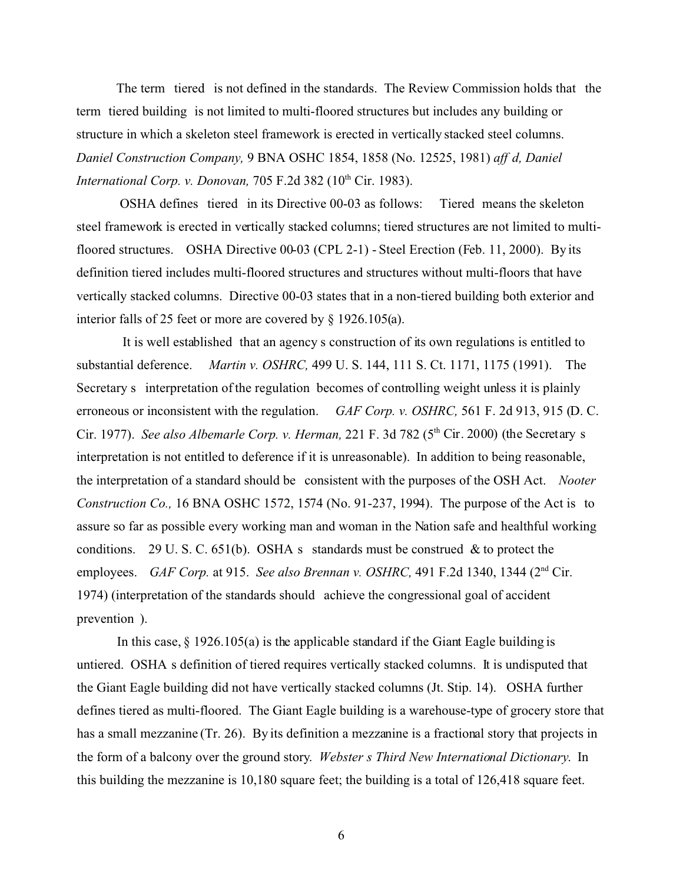The term tiered is not defined in the standards. The Review Commission holds that the term tiered building is not limited to multi-floored structures but includes any building or structure in which a skeleton steel framework is erected in vertically stacked steel columns. *Daniel Construction Company,* 9 BNA OSHC 1854, 1858 (No. 12525, 1981) *aff d, Daniel International Corp. v. Donovan, 705 F.2d 382 (10<sup>th</sup> Cir. 1983).* 

OSHA defines tiered in its Directive 00-03 as follows: Tiered means the skeleton steel framework is erected in vertically stacked columns; tiered structures are not limited to multifloored structures. OSHA Directive 00-03 (CPL 2-1) - Steel Erection (Feb. 11, 2000). By its definition tiered includes multi-floored structures and structures without multi-floors that have vertically stacked columns. Directive 00-03 states that in a non-tiered building both exterior and interior falls of 25 feet or more are covered by § 1926.105(a).

It is well established that an agency s construction of its own regulations is entitled to substantial deference. *Martin v. OSHRC,* 499 U. S. 144, 111 S. Ct. 1171, 1175 (1991). The Secretary s interpretation of the regulation becomes of controlling weight unless it is plainly erroneous or inconsistent with the regulation. *GAF Corp. v. OSHRC,* 561 F. 2d 913, 915 (D. C. Cir. 1977). *See also Albemarle Corp. v. Herman,* 221 F. 3d 782 (5<sup>th</sup> Cir. 2000) (the Secretary s interpretation is not entitled to deference if it is unreasonable). In addition to being reasonable, the interpretation of a standard should be consistent with the purposes of the OSH Act. *Nooter Construction Co.,* 16 BNA OSHC 1572, 1574 (No. 91-237, 1994). The purpose of the Act is to assure so far as possible every working man and woman in the Nation safe and healthful working conditions. 29 U. S. C.  $651(b)$ . OSHA s standards must be construed & to protect the employees. *GAF Corp.* at 915. *See also Brennan v. OSHRC*, 491 F.2d 1340, 1344 (2<sup>nd</sup> Cir. 1974) (interpretation of the standards should achieve the congressional goal of accident prevention ).

In this case, § 1926.105(a) is the applicable standard if the Giant Eagle building is untiered. OSHA s definition of tiered requires vertically stacked columns. It is undisputed that the Giant Eagle building did not have vertically stacked columns (Jt. Stip. 14). OSHA further defines tiered as multi-floored. The Giant Eagle building is a warehouse-type of grocery store that has a small mezzanine (Tr. 26). By its definition a mezzanine is a fractional story that projects in the form of a balcony over the ground story. *Webster s Third New International Dictionary*. In this building the mezzanine is 10,180 square feet; the building is a total of 126,418 square feet.

6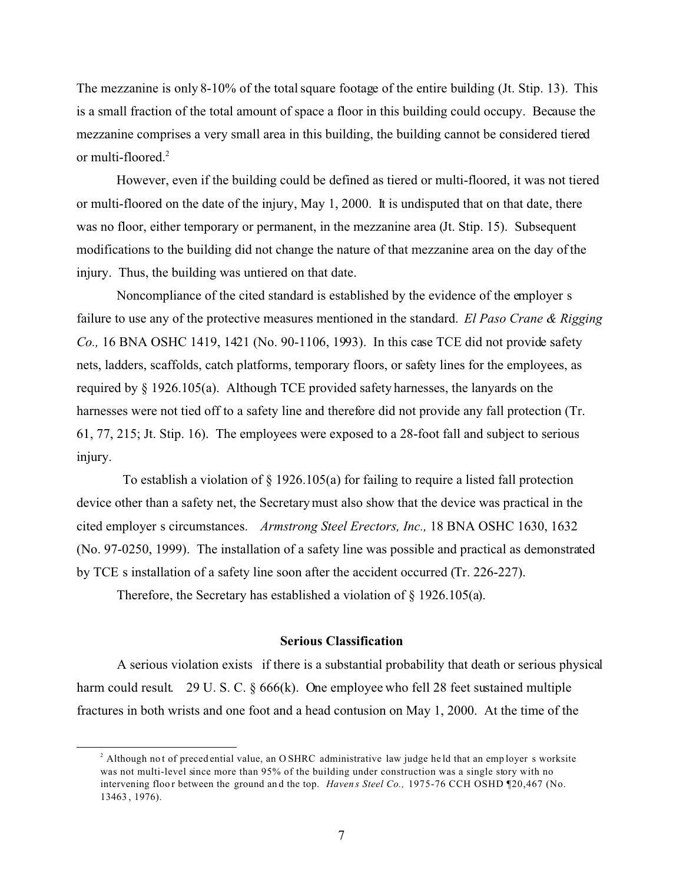The mezzanine is only 8-10% of the total square footage of the entire building (Jt. Stip. 13). This is a small fraction of the total amount of space a floor in this building could occupy. Because the mezzanine comprises a very small area in this building, the building cannot be considered tiered or multi-floored.<sup>2</sup>

However, even if the building could be defined as tiered or multi-floored, it was not tiered or multi-floored on the date of the injury, May 1, 2000. It is undisputed that on that date, there was no floor, either temporary or permanent, in the mezzanine area (Jt. Stip. 15). Subsequent modifications to the building did not change the nature of that mezzanine area on the day of the injury. Thus, the building was untiered on that date.

Noncompliance of the cited standard is established by the evidence of the employer s failure to use any of the protective measures mentioned in the standard. *El Paso Crane & Rigging Co.,* 16 BNA OSHC 1419, 1421 (No. 90-1106, 1993). In this case TCE did not provide safety nets, ladders, scaffolds, catch platforms, temporary floors, or safety lines for the employees, as required by § 1926.105(a). Although TCE provided safety harnesses, the lanyards on the harnesses were not tied off to a safety line and therefore did not provide any fall protection (Tr. 61, 77, 215; Jt. Stip. 16). The employees were exposed to a 28-foot fall and subject to serious injury.

To establish a violation of  $\S$  1926.105(a) for failing to require a listed fall protection device other than a safety net, the Secretary must also show that the device was practical in the cited employer s circumstances.  *Armstrong Steel Erectors, Inc.,* 18 BNA OSHC 1630, 1632 (No. 97-0250, 1999). The installation of a safety line was possible and practical as demonstrated by TCE s installation of a safety line soon after the accident occurred (Tr. 226-227).

Therefore, the Secretary has established a violation of § 1926.105(a).

## **Serious Classification**

A serious violation exists if there is a substantial probability that death or serious physical harm could result. 29 U. S. C. § 666(k). One employee who fell 28 feet sustained multiple fractures in both wrists and one foot and a head contusion on May 1, 2000. At the time of the

<sup>&</sup>lt;sup>2</sup> Although not of preced ential value, an O SHRC administrative law judge held that an employer s worksite was not multi-level since more than 95% of the building under construction was a single story with no intervening floor between the ground and the top. *Havens Steel Co.*, 1975-76 CCH OSHD ¶20,467 (No. 13463 , 1976).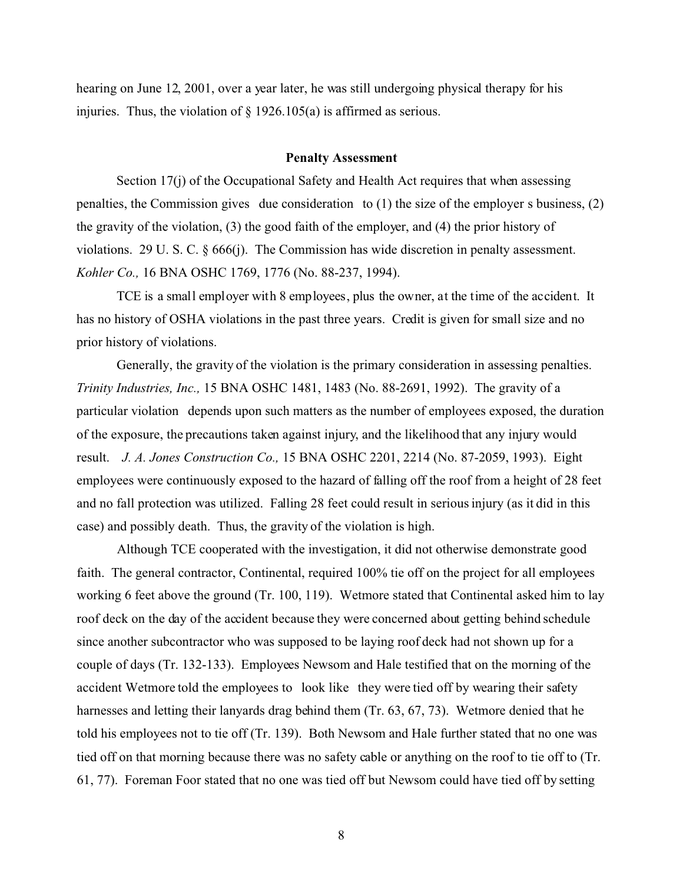hearing on June 12, 2001, over a year later, he was still undergoing physical therapy for his injuries. Thus, the violation of  $\S$  1926.105(a) is affirmed as serious.

#### **Penalty Assessment**

Section 17(j) of the Occupational Safety and Health Act requires that when assessing penalties, the Commission gives due consideration to  $(1)$  the size of the employer s business,  $(2)$ the gravity of the violation, (3) the good faith of the employer, and (4) the prior history of violations. 29 U. S. C. § 666(j). The Commission has wide discretion in penalty assessment. *Kohler Co.,* 16 BNA OSHC 1769, 1776 (No. 88-237, 1994).

TCE is a small employer with 8 employees, plus the owner, at the time of the accident. It has no history of OSHA violations in the past three years. Credit is given for small size and no prior history of violations.

Generally, the gravity of the violation is the primary consideration in assessing penalties. *Trinity Industries, Inc.,* 15 BNA OSHC 1481, 1483 (No. 88-2691, 1992). The gravity of a particular violation depends upon such matters as the number of employees exposed, the duration of the exposure, the precautions taken against injury, and the likelihood that any injury would result. *J. A. Jones Construction Co.,* 15 BNA OSHC 2201, 2214 (No. 87-2059, 1993). Eight employees were continuously exposed to the hazard of falling off the roof from a height of 28 feet and no fall protection was utilized. Falling 28 feet could result in serious injury (as it did in this case) and possibly death. Thus, the gravity of the violation is high.

Although TCE cooperated with the investigation, it did not otherwise demonstrate good faith. The general contractor, Continental, required 100% tie off on the project for all employees working 6 feet above the ground (Tr. 100, 119). Wetmore stated that Continental asked him to lay roof deck on the day of the accident because they were concerned about getting behind schedule since another subcontractor who was supposed to be laying roof deck had not shown up for a couple of days (Tr. 132-133). Employees Newsom and Hale testified that on the morning of the accident Wetmore told the employees to look like they were tied off by wearing their safety harnesses and letting their lanyards drag behind them (Tr. 63, 67, 73). Wetmore denied that he told his employees not to tie off (Tr. 139). Both Newsom and Hale further stated that no one was tied off on that morning because there was no safety cable or anything on the roof to tie off to (Tr. 61, 77). Foreman Foor stated that no one was tied off but Newsom could have tied off by setting